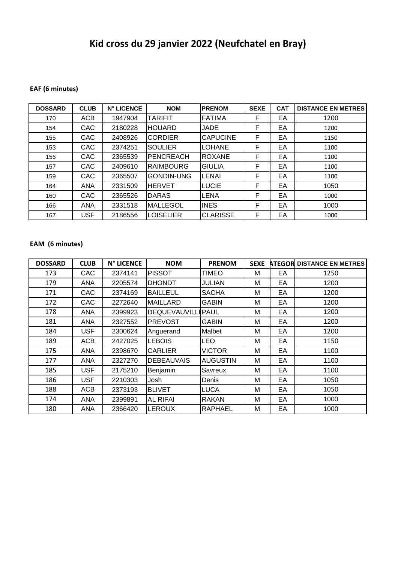# **Kid cross du 29 janvier 2022 (Neufchatel en Bray)**

### **EAF (6 minutes)**

| <b>DOSSARD</b> | <b>CLUB</b> | <b>N° LICENCE</b> | <b>NOM</b>        | <b>PRENOM</b>   | <b>SEXE</b> | <b>CAT</b> | <b>DISTANCE EN METRES</b> |
|----------------|-------------|-------------------|-------------------|-----------------|-------------|------------|---------------------------|
| 170            | ACB         | 1947904           | TARIFIT           | <b>FATIMA</b>   | F           | EA         | 1200                      |
| 154            | <b>CAC</b>  | 2180228           | <b>HOUARD</b>     | <b>JADE</b>     | F           | EA         | 1200                      |
| 155            | <b>CAC</b>  | 2408926           | <b>CORDIER</b>    | <b>CAPUCINE</b> | F           | EA         | 1150                      |
| 153            | <b>CAC</b>  | 2374251           | <b>SOULIER</b>    | <b>LOHANE</b>   | F           | EA         | 1100                      |
| 156            | <b>CAC</b>  | 2365539           | <b>PENCREACH</b>  | <b>ROXANE</b>   | F           | EA         | 1100                      |
| 157            | <b>CAC</b>  | 2409610           | <b>RAIMBOURG</b>  | <b>GIULIA</b>   | F           | EA         | 1100                      |
| 159            | <b>CAC</b>  | 2365507           | <b>GONDIN-UNG</b> | LENAI           | F           | EA         | 1100                      |
| 164            | <b>ANA</b>  | 2331509           | <b>HERVET</b>     | <b>LUCIE</b>    | F           | EA         | 1050                      |
| 160            | <b>CAC</b>  | 2365526           | <b>DARAS</b>      | LENA            | F           | EA         | 1000                      |
| 166            | <b>ANA</b>  | 2331518           | <b>IMALLEGOL</b>  | <b>INES</b>     | F           | EA         | 1000                      |
| 167            | <b>USF</b>  | 2186556           | LOISELIER         | <b>CLARISSE</b> | F           | EA         | 1000                      |

#### **EAM (6 minutes)**

| <b>DOSSARD</b> | <b>CLUB</b> | N° LICENCE | <b>NOM</b>                | <b>PRENOM</b>   | <b>SEXE</b> |    | <b>ATEGOR DISTANCE EN METRES</b> |
|----------------|-------------|------------|---------------------------|-----------------|-------------|----|----------------------------------|
| 173            | <b>CAC</b>  | 2374141    | <b>PISSOT</b>             | TIMEO           | M           | EA | 1250                             |
| 179            | <b>ANA</b>  | 2205574    | <b>DHONDT</b>             | <b>JULIAN</b>   | М           | EA | 1200                             |
| 171            | <b>CAC</b>  | 2374169    | <b>BAILLEUL</b>           | <b>SACHA</b>    | M           | EA | 1200                             |
| 172            | <b>CAC</b>  | 2272640    | <b>MAILLARD</b>           | <b>GABIN</b>    | М           | EA | 1200                             |
| 178            | <b>ANA</b>  | 2399923    | <b>DEQUEVAUVILLI PAUL</b> |                 | М           | EA | 1200                             |
| 181            | <b>ANA</b>  | 2327552    | <b>PREVOST</b>            | <b>GABIN</b>    | M           | EA | 1200                             |
| 184            | <b>USF</b>  | 2300624    | Anguerand                 | Malbet          | м           | EA | 1200                             |
| 189            | <b>ACB</b>  | 2427025    | <b>LEBOIS</b>             | <b>LEO</b>      | M           | EA | 1150                             |
| 175            | <b>ANA</b>  | 2398670    | <b>CARLIER</b>            | <b>VICTOR</b>   | M           | EA | 1100                             |
| 177            | <b>ANA</b>  | 2327270    | <b>DEBEAUVAIS</b>         | <b>AUGUSTIN</b> | M           | EA | 1100                             |
| 185            | <b>USF</b>  | 2175210    | Benjamin                  | Savreux         | М           | EA | 1100                             |
| 186            | <b>USF</b>  | 2210303    | Josh                      | Denis           | М           | EA | 1050                             |
| 188            | <b>ACB</b>  | 2373193    | <b>BLIVET</b>             | <b>LUCA</b>     | M           | EA | 1050                             |
| 174            | <b>ANA</b>  | 2399891    | <b>AL RIFAI</b>           | <b>RAKAN</b>    | М           | EA | 1000                             |
| 180            | <b>ANA</b>  | 2366420    | <b>LEROUX</b>             | <b>RAPHAEL</b>  | M           | EA | 1000                             |